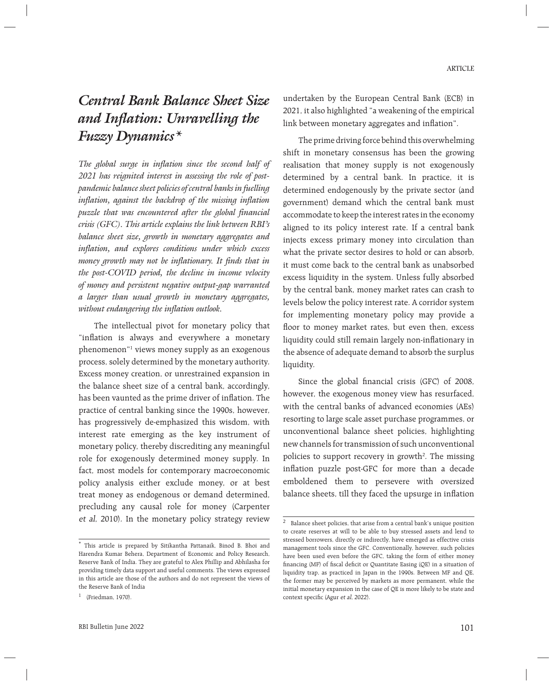# *Central Bank Balance Sheet Size and Inflation: Unravelling the Fuzzy Dynamics\**

*The global surge in inflation since the second half of 2021 has reignited interest in assessing the role of postpandemic balance sheet policies of central banks in fuelling inflation, against the backdrop of the missing inflation puzzle that was encountered after the global financial crisis (GFC). This article explains the link between RBI's balance sheet size, growth in monetary aggregates and inflation, and explores conditions under which excess money growth may not be inflationary. It finds that in the post-COVID period, the decline in income velocity of money and persistent negative output-gap warranted a larger than usual growth in monetary aggregates, without endangering the inflation outlook.* 

 The intellectual pivot for monetary policy that "inflation is always and everywhere a monetary phenomenon"1 views money supply as an exogenous process, solely determined by the monetary authority. Excess money creation, or unrestrained expansion in the balance sheet size of a central bank, accordingly, has been vaunted as the prime driver of inflation. The practice of central banking since the 1990s, however, has progressively de-emphasized this wisdom, with interest rate emerging as the key instrument of monetary policy, thereby discrediting any meaningful role for exogenously determined money supply. In fact, most models for contemporary macroeconomic policy analysis either exclude money, or at best treat money as endogenous or demand determined, precluding any causal role for money (Carpenter et al, 2010). In the monetary policy strategy review

undertaken by the European Central Bank (ECB) in 2021, it also highlighted "a weakening of the empirical link between monetary aggregates and inflation".

 The prime driving force behind this overwhelming shift in monetary consensus has been the growing realisation that money supply is not exogenously determined by a central bank. In practice, it is determined endogenously by the private sector (and government) demand which the central bank must accommodate to keep the interest rates in the economy aligned to its policy interest rate. If a central bank injects excess primary money into circulation than what the private sector desires to hold or can absorb, it must come back to the central bank as unabsorbed excess liquidity in the system. Unless fully absorbed by the central bank, money market rates can crash to levels below the policy interest rate. A corridor system for implementing monetary policy may provide a floor to money market rates, but even then, excess liquidity could still remain largely non-inflationary in the absence of adequate demand to absorb the surplus liquidity.

Since the global financial crisis (GFC) of 2008, however, the exogenous money view has resurfaced, with the central banks of advanced economies (AEs) resorting to large scale asset purchase programmes, or unconventional balance sheet policies, highlighting new channels for transmission of such unconventional policies to support recovery in growth<sup>2</sup>. The missing inflation puzzle post-GFC for more than a decade emboldened them to persevere with oversized balance sheets, till they faced the upsurge in inflation

<sup>\*</sup> This article is prepared by Sitikantha Pattanaik, Binod B. Bhoi and Harendra Kumar Behera, Department of Economic and Policy Research, Reserve Bank of India. They are grateful to Alex Phillip and Abhilasha for providing timely data support and useful comments. The views expressed in this article are those of the authors and do not represent the views of the Reserve Bank of India

 $1$  (Friedman, 1970).

 $^{\rm 2}~$  Balance sheet policies, that arise from a central bank's unique position to create reserves at will to be able to buy stressed assets and lend to stressed borrowers, directly or indirectly, have emerged as effective crisis management tools since the GFC. Conventionally, however, such policies have been used even before the GFC, taking the form of either money financing (MF) of fiscal deficit or Quantitate Easing (QE) in a situation of liquidity trap, as practiced in Japan in the 1990s. Between MF and QE, the former may be perceived by markets as more permanent, while the initial monetary expansion in the case of QE is more likely to be state and context specific (Agur et al, 2022).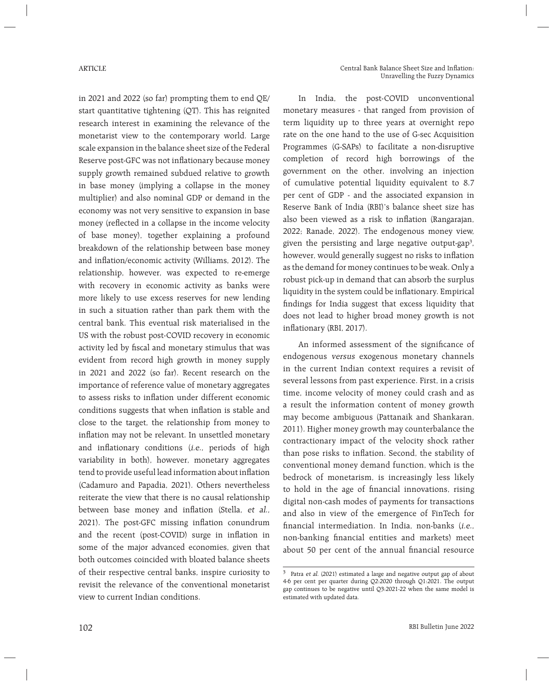in 2021 and 2022 (so far) prompting them to end QE/ start quantitative tightening (QT). This has reignited research interest in examining the relevance of the monetarist view to the contemporary world. Large scale expansion in the balance sheet size of the Federal Reserve post-GFC was not inflationary because money supply growth remained subdued relative to growth in base money (implying a collapse in the money multiplier) and also nominal GDP or demand in the economy was not very sensitive to expansion in base money (reflected in a collapse in the income velocity of base money), together explaining a profound breakdown of the relationship between base money and inflation/economic activity (Williams, 2012). The relationship, however, was expected to re-emerge with recovery in economic activity as banks were more likely to use excess reserves for new lending in such a situation rather than park them with the central bank. This eventual risk materialised in the US with the robust post-COVID recovery in economic activity led by fiscal and monetary stimulus that was evident from record high growth in money supply in 2021 and 2022 (so far). Recent research on the importance of reference value of monetary aggregates to assess risks to inflation under different economic conditions suggests that when inflation is stable and close to the target, the relationship from money to inflation may not be relevant. In unsettled monetary and inflationary conditions  $(i.e.,$  periods of high variability in both), however, monetary aggregates tend to provide useful lead information about inflation (Cadamuro and Papadia, 2021). Others nevertheless reiterate the view that there is no causal relationship between base money and inflation (Stella, et al., 2021). The post-GFC missing inflation conundrum and the recent (post-COVID) surge in inflation in some of the major advanced economies, given that both outcomes coincided with bloated balance sheets of their respective central banks, inspire curiosity to revisit the relevance of the conventional monetarist view to current Indian conditions.

 In India, the post-COVID unconventional monetary measures - that ranged from provision of term liquidity up to three years at overnight repo rate on the one hand to the use of G-sec Acquisition Programmes (G-SAPs) to facilitate a non-disruptive completion of record high borrowings of the government on the other, involving an injection of cumulative potential liquidity equivalent to 8.7 per cent of GDP - and the associated expansion in Reserve Bank of India (RBI)'s balance sheet size has also been viewed as a risk to inflation (Rangarajan, 2022; Ranade, 2022). The endogenous money view, given the persisting and large negative output-gap<sup>3</sup>, however, would generally suggest no risks to inflation as the demand for money continues to be weak. Only a robust pick-up in demand that can absorb the surplus liquidity in the system could be inflationary. Empirical findings for India suggest that excess liquidity that does not lead to higher broad money growth is not inflationary (RBI, 2017).

An informed assessment of the significance of endogenous versus exogenous monetary channels in the current Indian context requires a revisit of several lessons from past experience. First, in a crisis time, income velocity of money could crash and as a result the information content of money growth may become ambiguous (Pattanaik and Shankaran, 2011). Higher money growth may counterbalance the contractionary impact of the velocity shock rather than pose risks to inflation. Second, the stability of conventional money demand function, which is the bedrock of monetarism, is increasingly less likely to hold in the age of financial innovations, rising digital non-cash modes of payments for transactions and also in view of the emergence of FinTech for financial intermediation. In India, non-banks  $(i.e.,$ non-banking financial entities and markets) meet about 50 per cent of the annual financial resource

<sup>3</sup> Patra et al. (2021) estimated a large and negative output gap of about 4-6 per cent per quarter during Q2:2020 through Q1:2021. The output gap continues to be negative until Q3:2021-22 when the same model is estimated with updated data.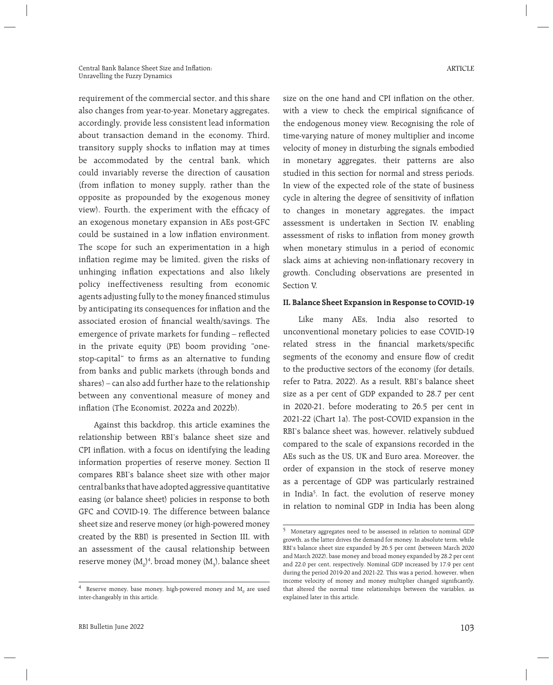requirement of the commercial sector, and this share also changes from year-to-year. Monetary aggregates, accordingly, provide less consistent lead information about transaction demand in the economy. Third, transitory supply shocks to inflation may at times be accommodated by the central bank, which could invariably reverse the direction of causation (from inflation to money supply, rather than the opposite as propounded by the exogenous money view). Fourth, the experiment with the efficacy of an exogenous monetary expansion in AEs post-GFC could be sustained in a low inflation environment. The scope for such an experimentation in a high inflation regime may be limited, given the risks of unhinging inflation expectations and also likely policy ineffectiveness resulting from economic agents adjusting fully to the money financed stimulus by anticipating its consequences for inflation and the associated erosion of financial wealth/savings. The emergence of private markets for funding - reflected in the private equity (PE) boom providing "onestop-capital" to firms as an alternative to funding from banks and public markets (through bonds and shares) – can also add further haze to the relationship between any conventional measure of money and inflation (The Economist, 2022a and 2022b).

 Against this backdrop, this article examines the relationship between RBI's balance sheet size and CPI inflation, with a focus on identifying the leading information properties of reserve money. Section II compares RBI's balance sheet size with other major central banks that have adopted aggressive quantitative easing (or balance sheet) policies in response to both GFC and COVID-19. The difference between balance sheet size and reserve money (or high-powered money created by the RBI) is presented in Section III, with an assessment of the causal relationship between reserve money ( $\mathrm{M_{0}}^{}\mathrm{)}$ 4, broad money ( $\mathrm{M_{3}}^{}\mathrm{)}$ , balance sheet size on the one hand and CPI inflation on the other. with a view to check the empirical significance of the endogenous money view. Recognising the role of time-varying nature of money multiplier and income velocity of money in disturbing the signals embodied in monetary aggregates, their patterns are also studied in this section for normal and stress periods. In view of the expected role of the state of business cycle in altering the degree of sensitivity of inflation to changes in monetary aggregates, the impact assessment is undertaken in Section IV, enabling assessment of risks to inflation from money growth when monetary stimulus in a period of economic slack aims at achieving non-inflationary recovery in growth. Concluding observations are presented in Section V.

#### **II. Balance Sheet Expansion in Response to COVID-19**

 Like many AEs, India also resorted to unconventional monetary policies to ease COVID-19 related stress in the financial markets/specific segments of the economy and ensure flow of credit to the productive sectors of the economy (for details, refer to Patra, 2022). As a result, RBI's balance sheet size as a per cent of GDP expanded to 28.7 per cent in 2020-21, before moderating to 26.5 per cent in 2021-22 (Chart 1a). The post-COVID expansion in the RBI's balance sheet was, however, relatively subdued compared to the scale of expansions recorded in the AEs such as the US, UK and Euro area. Moreover, the order of expansion in the stock of reserve money as a percentage of GDP was particularly restrained in India5 . In fact, the evolution of reserve money in relation to nominal GDP in India has been along

 $^4$  Reserve money, base money, high-powered money and  $\rm M_{0}$  are used inter-changeably in this article.

<sup>5</sup> Monetary aggregates need to be assessed in relation to nominal GDP growth, as the latter drives the demand for money. In absolute term, while RBI's balance sheet size expanded by 26.5 per cent (between March 2020 and March 2022), base money and broad money expanded by 28.2 per cent and 22.0 per cent, respectively. Nominal GDP increased by 17.9 per cent during the period 2019-20 and 2021-22. This was a period, however, when income velocity of money and money multiplier changed significantly, that altered the normal time relationships between the variables, as explained later in this article.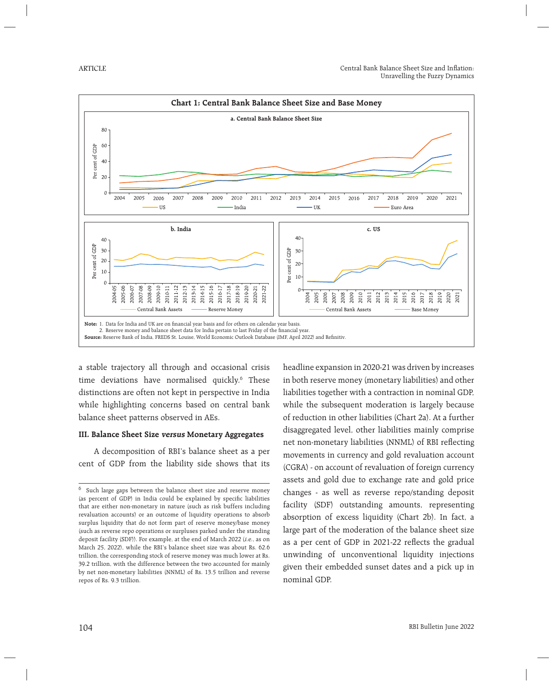

a stable trajectory all through and occasional crisis time deviations have normalised quickly.6 These distinctions are often not kept in perspective in India while highlighting concerns based on central bank balance sheet patterns observed in AEs.

## **III. Balance Sheet Size versus Monetary Aggregates**

 A decomposition of RBI's balance sheet as a per cent of GDP from the liability side shows that its

headline expansion in 2020-21 was driven by increases in both reserve money (monetary liabilities) and other liabilities together with a contraction in nominal GDP, while the subsequent moderation is largely because of reduction in other liabilities (Chart 2a). At a further disaggregated level, other liabilities mainly comprise net non-monetary liabilities (NNML) of RBI reflecting movements in currency and gold revaluation account (CGRA) - on account of revaluation of foreign currency assets and gold due to exchange rate and gold price changes - as well as reverse repo/standing deposit facility (SDF) outstanding amounts, representing absorption of excess liquidity (Chart 2b). In fact, a large part of the moderation of the balance sheet size as a per cent of GDP in 2021-22 reflects the gradual unwinding of unconventional liquidity injections given their embedded sunset dates and a pick up in nominal GDP.

<sup>6</sup> Such large gaps between the balance sheet size and reserve money (as percent of GDP) in India could be explained by specific liabilities that are either non-monetary in nature (such as risk buffers including revaluation accounts) or an outcome of liquidity operations to absorb surplus liquidity that do not form part of reserve money/base money (such as reverse repo operations or surpluses parked under the standing deposit facility (SDF)). For example, at the end of March 2022 (i.e., as on March 25, 2022), while the RBI's balance sheet size was about Rs. 62.6 trillion, the corresponding stock of reserve money was much lower at Rs. 39.2 trillion, with the difference between the two accounted for mainly by net non-monetary liabilities (NNML) of Rs. 13.5 trillion and reverse repos of Rs. 9.3 trillion.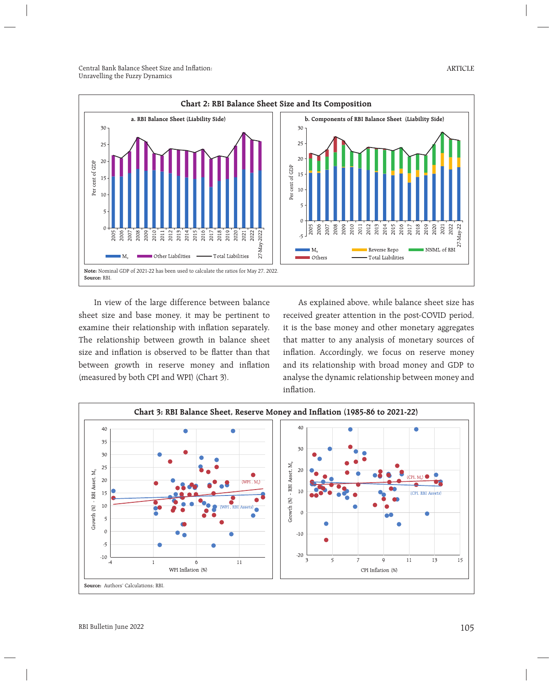

 In view of the large difference between balance sheet size and base money, it may be pertinent to examine their relationship with inflation separately. The relationship between growth in balance sheet size and inflation is observed to be flatter than that between growth in reserve money and inflation (measured by both CPI and WPI) (Chart 3).

 As explained above, while balance sheet size has received greater attention in the post-COVID period, it is the base money and other monetary aggregates that matter to any analysis of monetary sources of inflation. Accordingly, we focus on reserve money and its relationship with broad money and GDP to analyse the dynamic relationship between money and inflation.

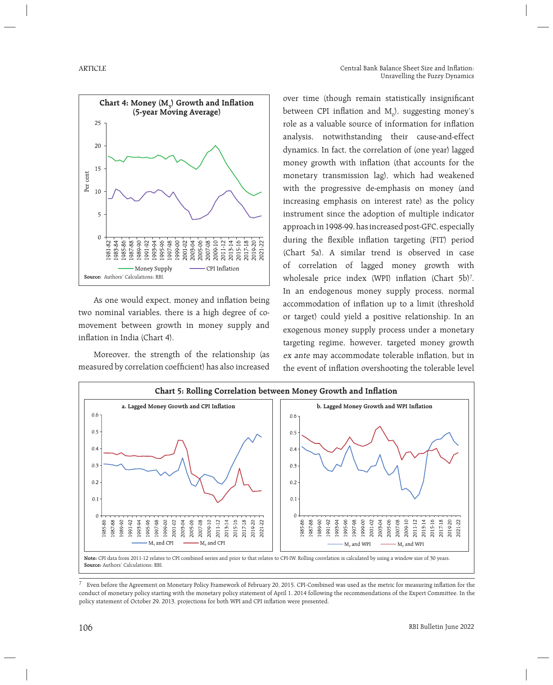

As one would expect, money and inflation being two nominal variables, there is a high degree of comovement between growth in money supply and inflation in India (Chart 4).

 Moreover, the strength of the relationship (as measured by correlation coefficient) has also increased over time (though remain statistically insignificant between CPI inflation and  $M_{0}$ ), suggesting money's role as a valuable source of information for inflation analysis, notwithstanding their cause-and-effect dynamics. In fact, the correlation of (one year) lagged money growth with inflation (that accounts for the monetary transmission lag), which had weakened with the progressive de-emphasis on money (and increasing emphasis on interest rate) as the policy instrument since the adoption of multiple indicator approach in 1998-99, has increased post-GFC, especially during the flexible inflation targeting (FIT) period (Chart 5a). A similar trend is observed in case of correlation of lagged money growth with wholesale price index (WPI) inflation (Chart 5b)<sup>7</sup>. In an endogenous money supply process, normal accommodation of inflation up to a limit (threshold or target) could yield a positive relationship. In an exogenous money supply process under a monetary targeting regime, however, targeted money growth ex ante may accommodate tolerable inflation, but in the event of inflation overshooting the tolerable level



**Note:** CPI data from 2011-12 relates to CPI combined series and prior to that relates to CPI-IW. Rolling correlation is calculated by using a window size of 30 years. **Source:** Authors' Calculations; RBI.

7 Even before the Agreement on Monetary Policy Framework of February 20, 2015, CPI-Combined was used as the metric for measuring infl ation for the conduct of monetary policy starting with the monetary policy statement of April 1, 2014 following the recommendations of the Expert Committee. In the policy statement of October 29, 2013, projections for both WPI and CPI inflation were presented.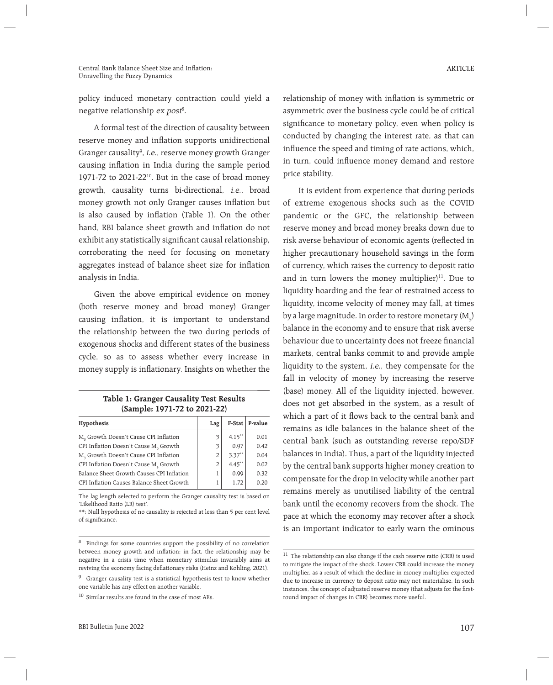policy induced monetary contraction could yield a negative relationship *ex post<sup>s</sup>.* 

 A formal test of the direction of causality between reserve money and inflation supports unidirectional Granger causality<sup>9</sup>, *i.e.*, reserve money growth Granger causing inflation in India during the sample period 1971-72 to 2021-22 $^{10}$ . But in the case of broad money growth, causality turns bi-directional, i.e., broad money growth not only Granger causes inflation but is also caused by inflation (Table 1). On the other hand, RBI balance sheet growth and inflation do not exhibit any statistically significant causal relationship, corroborating the need for focusing on monetary aggregates instead of balance sheet size for inflation analysis in India.

 Given the above empirical evidence on money (both reserve money and broad money) Granger causing inflation, it is important to understand the relationship between the two during periods of exogenous shocks and different states of the business cycle, so as to assess whether every increase in money supply is inflationary. Insights on whether the

| Table 1: Granger Causality Test Results |
|-----------------------------------------|
| (Sample: 1971-72 to 2021-22)            |

| Hypothesis                                        | Lag |           | F-Stat   P-value |
|---------------------------------------------------|-----|-----------|------------------|
| M <sub>o</sub> Growth Doesn't Cause CPI Inflation | 3   | $4.15***$ | 0.01             |
| CPI Inflation Doesn't Cause M <sub>o</sub> Growth | 3   | 0.97      | 0.42             |
| M <sub>3</sub> Growth Doesn't Cause CPI Inflation | 2   | $3.37***$ | 0.04             |
| CPI Inflation Doesn't Cause M <sub>3</sub> Growth | 2   | $4.45***$ | 0.02             |
| Balance Sheet Growth Causes CPI Inflation         |     | 0.99      | 0.32             |
| CPI Inflation Causes Balance Sheet Growth         |     | 1.72      | 0.20             |

The lag length selected to perform the Granger causality test is based on 'Likelihood Ratio (LR) test'.

\*\*: Null hypothesis of no causality is rejected at less than 5 per cent level of significance.

10 Similar results are found in the case of most AEs.

relationship of money with inflation is symmetric or asymmetric over the business cycle could be of critical significance to monetary policy, even when policy is conducted by changing the interest rate, as that can influence the speed and timing of rate actions, which, in turn, could influence money demand and restore price stability.

 It is evident from experience that during periods of extreme exogenous shocks such as the COVID pandemic or the GFC, the relationship between reserve money and broad money breaks down due to risk averse behaviour of economic agents (reflected in higher precautionary household savings in the form of currency, which raises the currency to deposit ratio and in turn lowers the money multiplier) $11$ . Due to liquidity hoarding and the fear of restrained access to liquidity, income velocity of money may fall, at times by a large magnitude. In order to restore monetary  $(\text{M}_\text{3})$ balance in the economy and to ensure that risk averse behaviour due to uncertainty does not freeze financial markets, central banks commit to and provide ample liquidity to the system, i.e., they compensate for the fall in velocity of money by increasing the reserve (base) money. All of the liquidity injected, however, does not get absorbed in the system, as a result of which a part of it flows back to the central bank and remains as idle balances in the balance sheet of the central bank (such as outstanding reverse repo/SDF balances in India). Thus, a part of the liquidity injected by the central bank supports higher money creation to compensate for the drop in velocity while another part remains merely as unutilised liability of the central bank until the economy recovers from the shock. The pace at which the economy may recover after a shock is an important indicator to early warn the ominous

<sup>8</sup> Findings for some countries support the possibility of no correlation between money growth and inflation; in fact, the relationship may be negative in a crisis time when monetary stimulus invariably aims at reviving the economy facing deflationary risks (Heinz and Kohling, 2021).

<sup>&</sup>lt;sup>9</sup> Granger causality test is a statistical hypothesis test to know whether one variable has any effect on another variable.

 $^{11}\,$  The relationship can also change if the cash reserve ratio (CRR) is used to mitigate the impact of the shock. Lower CRR could increase the money multiplier, as a result of which the decline in money multiplier expected due to increase in currency to deposit ratio may not materialise. In such instances, the concept of adjusted reserve money (that adjusts for the firstround impact of changes in CRR) becomes more useful.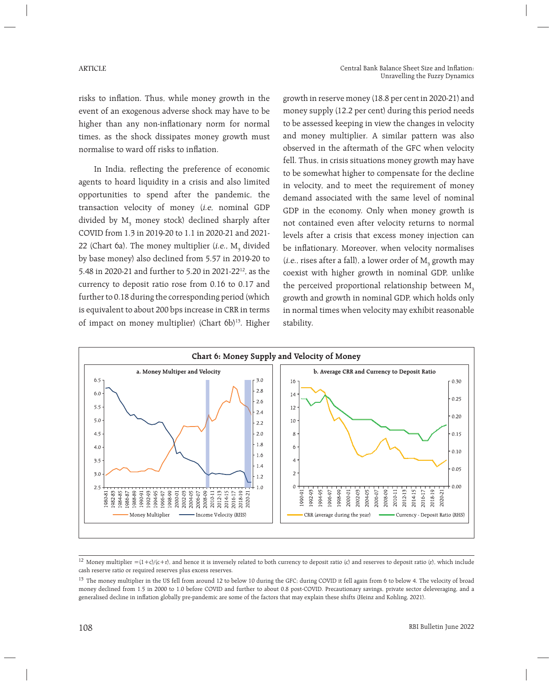risks to inflation. Thus, while money growth in the event of an exogenous adverse shock may have to be higher than any non-inflationary norm for normal times, as the shock dissipates money growth must normalise to ward off risks to inflation.

In India, reflecting the preference of economic agents to hoard liquidity in a crisis and also limited opportunities to spend after the pandemic, the transaction velocity of money (i.e, nominal GDP divided by  $\text{M}_\text{\tiny{3}}$  money stock) declined sharply after COVID from 1.3 in 2019-20 to 1.1 in 2020-21 and 2021- 22 (Chart 6a). The money multiplier (*i.e.*,  $M<sub>3</sub>$  divided by base money) also declined from 5.57 in 2019-20 to 5.48 in 2020-21 and further to 5.20 in 2021-2212, as the currency to deposit ratio rose from 0.16 to 0.17 and further to 0.18 during the corresponding period (which is equivalent to about 200 bps increase in CRR in terms of impact on money multiplier) (Chart 6b)<sup>13</sup>. Higher growth in reserve money (18.8 per cent in 2020-21) and money supply (12.2 per cent) during this period needs to be assessed keeping in view the changes in velocity and money multiplier. A similar pattern was also observed in the aftermath of the GFC when velocity fell. Thus, in crisis situations money growth may have to be somewhat higher to compensate for the decline in velocity, and to meet the requirement of money demand associated with the same level of nominal GDP in the economy. Only when money growth is not contained even after velocity returns to normal levels after a crisis that excess money injection can be inflationary. Moreover, when velocity normalises (*i.e.*, rises after a fall), a lower order of  $M$ <sub>3</sub> growth may coexist with higher growth in nominal GDP, unlike the perceived proportional relationship between  $M<sub>3</sub>$ growth and growth in nominal GDP, which holds only in normal times when velocity may exhibit reasonable stability.



<sup>&</sup>lt;sup>12</sup> Money multiplier =(1+c)/(c+r), and hence it is inversely related to both currency to deposit ratio (c) and reserves to deposit ratio (r), which include cash reserve ratio or required reserves plus excess reserves.

<sup>&</sup>lt;sup>13</sup> The money multiplier in the US fell from around 12 to below 10 during the GFC; during COVID it fell again from 6 to below 4. The velocity of broad money declined from 1.5 in 2000 to 1.0 before COVID and further to about 0.8 post-COVID. Precautionary savings, private sector deleveraging, and a generalised decline in inflation globally pre-pandemic are some of the factors that may explain these shifts (Heinz and Kohling, 2021).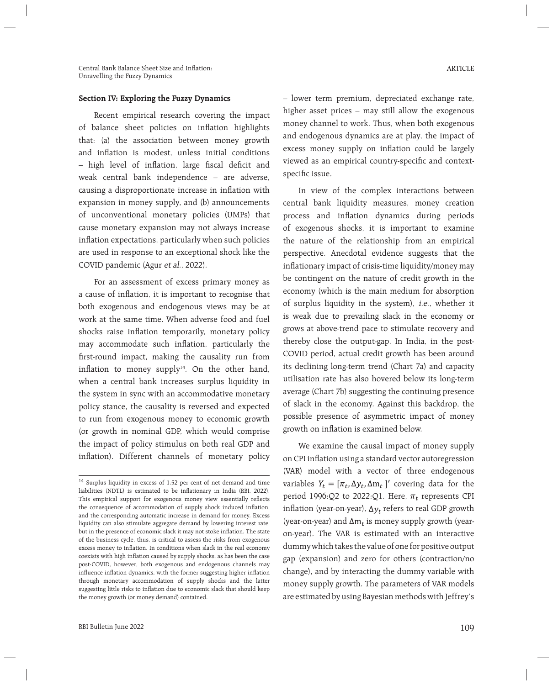#### **Section IV: Exploring the Fuzzy Dynamics**

 Recent empirical research covering the impact of balance sheet policies on inflation highlights that: (a) the association between money growth and inflation is modest, unless initial conditions - high level of inflation, large fiscal deficit and weak central bank independence – are adverse, causing a disproportionate increase in inflation with expansion in money supply, and (b) announcements of unconventional monetary policies (UMPs) that cause monetary expansion may not always increase inflation expectations, particularly when such policies are used in response to an exceptional shock like the COVID pandemic (Agur et al., 2022).

 For an assessment of excess primary money as a cause of inflation, it is important to recognise that both exogenous and endogenous views may be at work at the same time. When adverse food and fuel shocks raise inflation temporarily, monetary policy may accommodate such inflation, particularly the first-round impact, making the causality run from inflation to money supply $14$ . On the other hand, when a central bank increases surplus liquidity in the system in sync with an accommodative monetary policy stance, the causality is reversed and expected to run from exogenous money to economic growth (or growth in nominal GDP, which would comprise the impact of policy stimulus on both real GDP and inflation). Different channels of monetary policy – lower term premium, depreciated exchange rate, higher asset prices – may still allow the exogenous money channel to work. Thus, when both exogenous and endogenous dynamics are at play, the impact of excess money supply on inflation could be largely viewed as an empirical country-specific and contextspecific issue.

 In view of the complex interactions between central bank liquidity measures, money creation process and inflation dynamics during periods of exogenous shocks, it is important to examine the nature of the relationship from an empirical perspective. Anecdotal evidence suggests that the inflationary impact of crisis-time liquidity/money may be contingent on the nature of credit growth in the economy (which is the main medium for absorption of surplus liquidity in the system), i.e., whether it is weak due to prevailing slack in the economy or grows at above-trend pace to stimulate recovery and thereby close the output-gap. In India, in the post-COVID period, actual credit growth has been around its declining long-term trend (Chart 7a) and capacity utilisation rate has also hovered below its long-term average (Chart 7b) suggesting the continuing presence of slack in the economy. Against this backdrop, the possible presence of asymmetric impact of money growth on inflation is examined below.

 We examine the causal impact of money supply on CPI inflation using a standard vector autoregression (VAR) model with a vector of three endogenous variables  $Y_t = [\pi_t, \Delta y_t, \Delta m_t]$ ' covering data for the period 1996:Q2 to 2022:Q1. Here,  $\pi_t$  represents CPI inflation (year-on-year),  $\Delta y_t$  refers to real GDP growth (year-on-year) and  $\Delta m_t$  is money supply growth (yearon-year). The VAR is estimated with an interactive dummy which takes the value of one for positive output gap (expansion) and zero for others (contraction/no change), and by interacting the dummy variable with money supply growth. The parameters of VAR models are estimated by using Bayesian methods with Jeffrey's

<sup>14</sup> Surplus liquidity in excess of 1.52 per cent of net demand and time liabilities (NDTL) is estimated to be inflationary in India (RBI, 2022). This empirical support for exogenous money view essentially reflects the consequence of accommodation of supply shock induced inflation, and the corresponding automatic increase in demand for money. Excess liquidity can also stimulate aggregate demand by lowering interest rate, but in the presence of economic slack it may not stoke inflation. The state of the business cycle, thus, is critical to assess the risks from exogenous excess money to inflation. In conditions when slack in the real economy coexists with high inflation caused by supply shocks, as has been the case post-COVID, however, both exogenous and endogenous channels may influence inflation dynamics, with the former suggesting higher inflation through monetary accommodation of supply shocks and the latter suggesting little risks to inflation due to economic slack that should keep the money growth (or money demand) contained.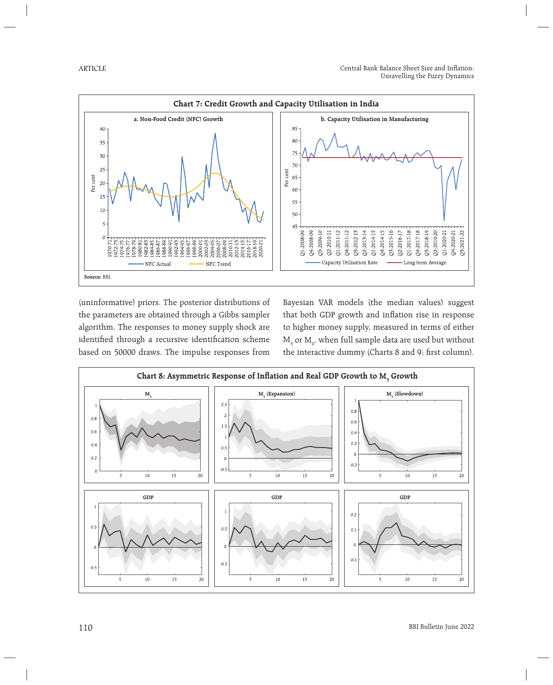ARTICLE



(uninformative) priors. The posterior distributions of the parameters are obtained through a Gibbs sampler algorithm. The responses to money supply shock are identified through a recursive identification scheme based on 50000 draws. The impulse responses from Bayesian VAR models (the median values) suggest that both GDP growth and inflation rise in response to higher money supply, measured in terms of either  $\text{M}_\text{3}$  or  $\text{M}_\text{0}$ , when full sample data are used but without the interactive dummy (Charts 8 and 9; first column).

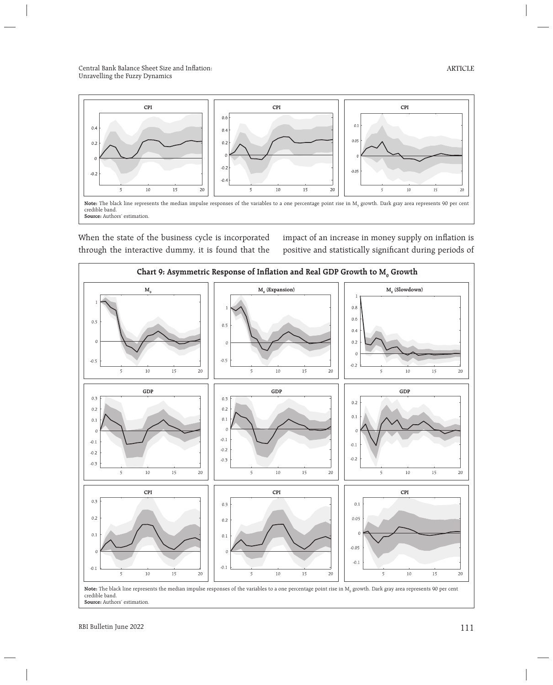

When the state of the business cycle is incorporated through the interactive dummy, it is found that the impact of an increase in money supply on inflation is positive and statistically significant during periods of



**Note:** The black line represents the median impulse responses of the variables to a one percentage point rise in  $\mathbf{M}_\mathrm{o}$  growth. Dark gray area represents 90 per cent credible band. **Source:** Authors' estimation.

ARTICLE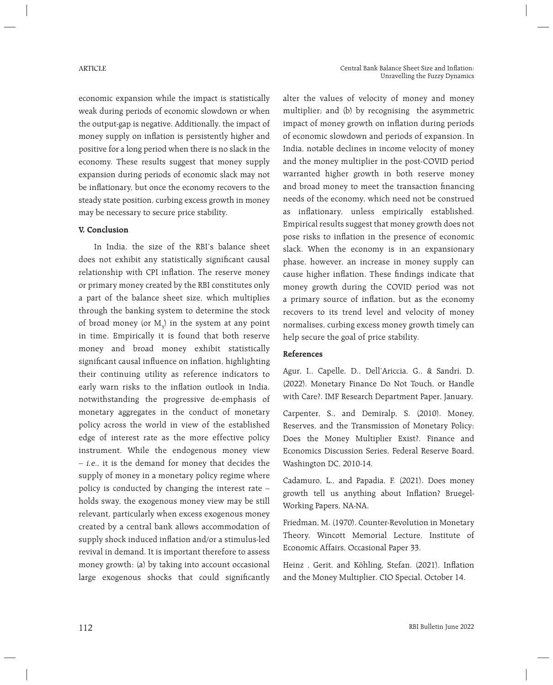economic expansion while the impact is statistically weak during periods of economic slowdown or when the output-gap is negative. Additionally, the impact of money supply on inflation is persistently higher and positive for a long period when there is no slack in the economy. These results suggest that money supply expansion during periods of economic slack may not be inflationary, but once the economy recovers to the steady state position, curbing excess growth in money may be necessary to secure price stability.

#### **V. Conclusion**

 In India, the size of the RBI's balance sheet does not exhibit any statistically significant causal relationship with CPI inflation. The reserve money or primary money created by the RBI constitutes only a part of the balance sheet size, which multiplies through the banking system to determine the stock of broad money (or  $M_3$ ) in the system at any point in time. Empirically it is found that both reserve money and broad money exhibit statistically significant causal influence on inflation, highlighting their continuing utility as reference indicators to early warn risks to the inflation outlook in India, notwithstanding the progressive de-emphasis of monetary aggregates in the conduct of monetary policy across the world in view of the established edge of interest rate as the more effective policy instrument. While the endogenous money view – i.e., it is the demand for money that decides the supply of money in a monetary policy regime where policy is conducted by changing the interest rate – holds sway, the exogenous money view may be still relevant, particularly when excess exogenous money created by a central bank allows accommodation of supply shock induced inflation and/or a stimulus-led revival in demand. It is important therefore to assess money growth: (a) by taking into account occasional large exogenous shocks that could significantly

alter the values of velocity of money and money multiplier; and (b) by recognising the asymmetric impact of money growth on inflation during periods of economic slowdown and periods of expansion. In India, notable declines in income velocity of money and the money multiplier in the post-COVID period warranted higher growth in both reserve money and broad money to meet the transaction financing needs of the economy, which need not be construed as inflationary, unless empirically established. Empirical results suggest that money growth does not pose risks to inflation in the presence of economic slack. When the economy is in an expansionary phase, however, an increase in money supply can cause higher inflation. These findings indicate that money growth during the COVID period was not a primary source of inflation, but as the economy recovers to its trend level and velocity of money normalises, curbing excess money growth timely can help secure the goal of price stability.

### **References**

Agur, I., Capelle, D., Dell'Ariccia, G., & Sandri, D. (2022). Monetary Finance Do Not Touch, or Handle with Care?. IMF Research Department Paper, January.

Carpenter, S., and Demiralp, S. (2010). Money, Reserves, and the Transmission of Monetary Policy: Does the Money Multiplier Exist?. Finance and Economics Discussion Series, Federal Reserve Board, Washington DC, 2010-14.

Cadamuro, L., and Papadia, F. (2021). Does money growth tell us anything about Inflation? Bruegel-Working Papers, NA-NA.

Friedman, M. (1970). Counter-Revolution in Monetary Theory. Wincott Memorial Lecture, Institute of Economic Affairs, Occasional Paper 33.

Heinz, Gerit. and Köhling, Stefan. (2021). Inflation and the Money Multiplier. CIO Special, October 14.